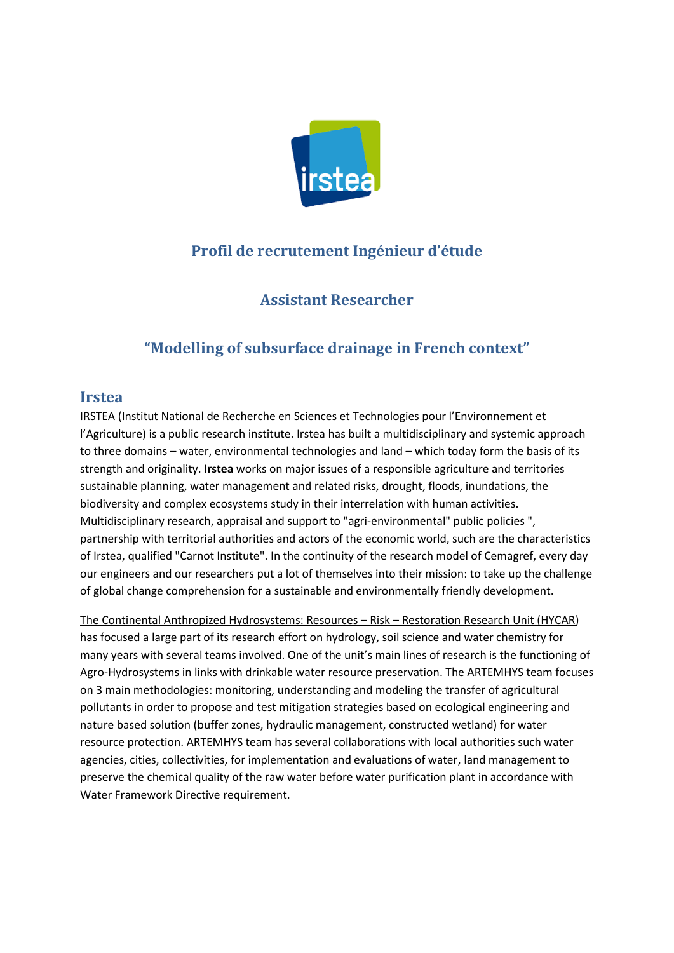

# **Profil de recrutement Ingénieur d'étude**

## **Assistant Researcher**

# **"Modelling of subsurface drainage in French context"**

### **Irstea**

IRSTEA (Institut National de Recherche en Sciences et Technologies pour l'Environnement et l'Agriculture) is a public research institute. Irstea has built a multidisciplinary and systemic approach to three domains – water, environmental technologies and land – which today form the basis of its strength and originality. **Irstea** works on major issues of a responsible agriculture and territories sustainable planning, water management and related risks, drought, floods, inundations, the biodiversity and complex ecosystems study in their interrelation with human activities. Multidisciplinary research, appraisal and support to "agri-environmental" public policies ", partnership with territorial authorities and actors of the economic world, such are the characteristics of Irstea, qualified "Carnot Institute". In the continuity of the research model of Cemagref, every day our engineers and our researchers put a lot of themselves into their mission: to take up the challenge of global change comprehension for a sustainable and environmentally friendly development.

The Continental Anthropized Hydrosystems: Resources – Risk – Restoration Research Unit (HYCAR) has focused a large part of its research effort on hydrology, soil science and water chemistry for many years with several teams involved. One of the unit's main lines of research is the functioning of Agro-Hydrosystems in links with drinkable water resource preservation. The ARTEMHYS team focuses on 3 main methodologies: monitoring, understanding and modeling the transfer of agricultural pollutants in order to propose and test mitigation strategies based on ecological engineering and nature based solution (buffer zones, hydraulic management, constructed wetland) for water resource protection. ARTEMHYS team has several collaborations with local authorities such water agencies, cities, collectivities, for implementation and evaluations of water, land management to preserve the chemical quality of the raw water before water purification plant in accordance with Water Framework Directive requirement.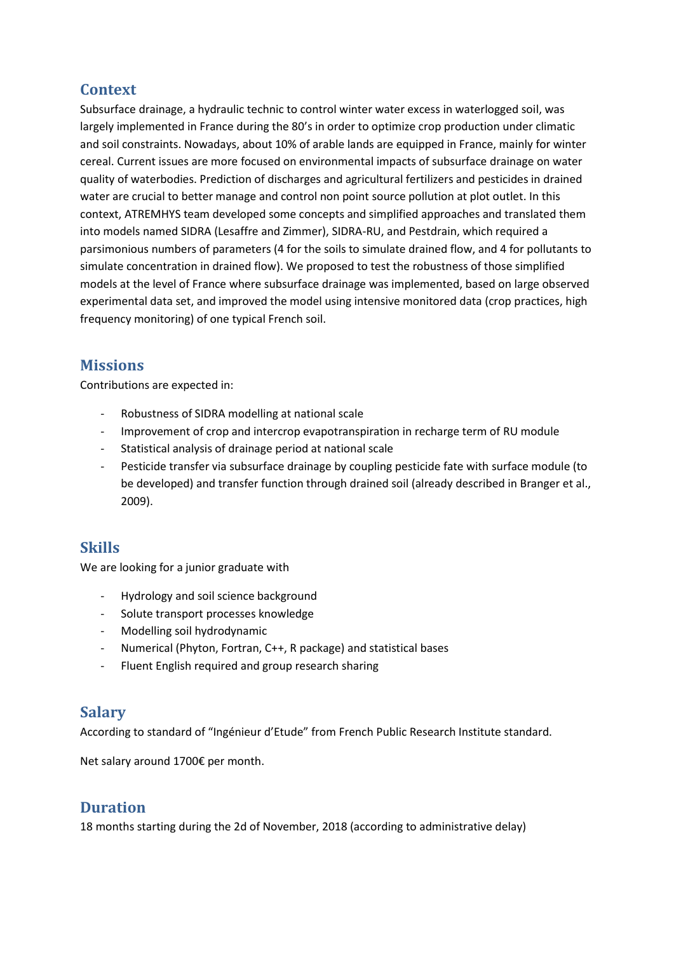## **Context**

Subsurface drainage, a hydraulic technic to control winter water excess in waterlogged soil, was largely implemented in France during the 80's in order to optimize crop production under climatic and soil constraints. Nowadays, about 10% of arable lands are equipped in France, mainly for winter cereal. Current issues are more focused on environmental impacts of subsurface drainage on water quality of waterbodies. Prediction of discharges and agricultural fertilizers and pesticides in drained water are crucial to better manage and control non point source pollution at plot outlet. In this context, ATREMHYS team developed some concepts and simplified approaches and translated them into models named SIDRA (Lesaffre and Zimmer), SIDRA-RU, and Pestdrain, which required a parsimonious numbers of parameters (4 for the soils to simulate drained flow, and 4 for pollutants to simulate concentration in drained flow). We proposed to test the robustness of those simplified models at the level of France where subsurface drainage was implemented, based on large observed experimental data set, and improved the model using intensive monitored data (crop practices, high frequency monitoring) of one typical French soil.

### **Missions**

Contributions are expected in:

- Robustness of SIDRA modelling at national scale
- Improvement of crop and intercrop evapotranspiration in recharge term of RU module
- Statistical analysis of drainage period at national scale
- Pesticide transfer via subsurface drainage by coupling pesticide fate with surface module (to be developed) and transfer function through drained soil (already described in Branger et al., 2009).

### **Skills**

We are looking for a junior graduate with

- Hydrology and soil science background
- Solute transport processes knowledge
- Modelling soil hydrodynamic
- Numerical (Phyton, Fortran, C++, R package) and statistical bases
- Fluent English required and group research sharing

### **Salary**

According to standard of "Ingénieur d'Etude" from French Public Research Institute standard.

Net salary around 1700€ per month.

### **Duration**

18 months starting during the 2d of November, 2018 (according to administrative delay)